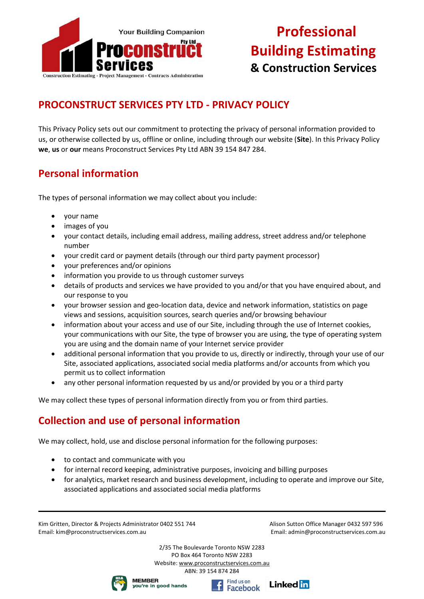

### **PROCONSTRUCT SERVICES PTY LTD - PRIVACY POLICY**

This Privacy Policy sets out our commitment to protecting the privacy of personal information provided to us, or otherwise collected by us, offline or online, including through our website (**Site**). In this Privacy Policy **we**, **us** or **our** means Proconstruct Services Pty Ltd ABN 39 154 847 284.

### **Personal information**

The types of personal information we may collect about you include:

- your name
- images of you
- your contact details, including email address, mailing address, street address and/or telephone number
- your credit card or payment details (through our third party payment processor)
- your preferences and/or opinions
- information you provide to us through customer surveys
- details of products and services we have provided to you and/or that you have enquired about, and our response to you
- your browser session and geo-location data, device and network information, statistics on page views and sessions, acquisition sources, search queries and/or browsing behaviour
- information about your access and use of our Site, including through the use of Internet cookies, your communications with our Site, the type of browser you are using, the type of operating system you are using and the domain name of your Internet service provider
- additional personal information that you provide to us, directly or indirectly, through your use of our Site, associated applications, associated social media platforms and/or accounts from which you permit us to collect information
- any other personal information requested by us and/or provided by you or a third party

We may collect these types of personal information directly from you or from third parties.

### **Collection and use of personal information**

We may collect, hold, use and disclose personal information for the following purposes:

- to contact and communicate with you
- for internal record keeping, administrative purposes, invoicing and billing purposes
- for analytics, market research and business development, including to operate and improve our Site, associated applications and associated social media platforms

Kim Gritten, Director & Projects Administrator 0402 551 744 Alison Sutton Office Manager 0432 597 596 Email: kim@proconstructservices.com.au Email: admin@proconstructservices.com.au





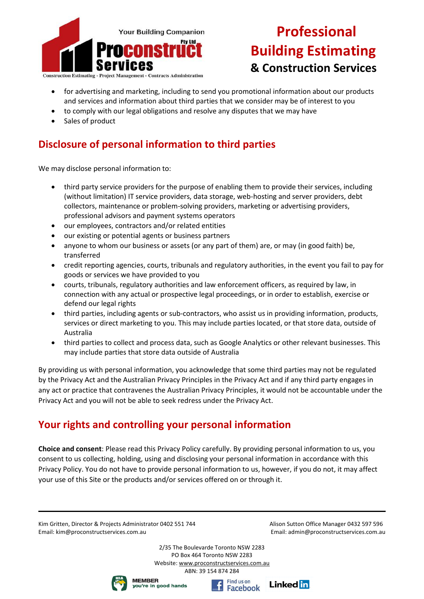

**Construction Estimating - Project Management - Contracts Administration** 

- for advertising and marketing, including to send you promotional information about our products and services and information about third parties that we consider may be of interest to you
- to comply with our legal obligations and resolve any disputes that we may have
- Sales of product

### **Disclosure of personal information to third parties**

We may disclose personal information to:

- third party service providers for the purpose of enabling them to provide their services, including (without limitation) IT service providers, data storage, web-hosting and server providers, debt collectors, maintenance or problem-solving providers, marketing or advertising providers, professional advisors and payment systems operators
- our employees, contractors and/or related entities
- our existing or potential agents or business partners
- anyone to whom our business or assets (or any part of them) are, or may (in good faith) be, transferred
- credit reporting agencies, courts, tribunals and regulatory authorities, in the event you fail to pay for goods or services we have provided to you
- courts, tribunals, regulatory authorities and law enforcement officers, as required by law, in connection with any actual or prospective legal proceedings, or in order to establish, exercise or defend our legal rights
- third parties, including agents or sub-contractors, who assist us in providing information, products, services or direct marketing to you. This may include parties located, or that store data, outside of Australia
- third parties to collect and process data, such as Google Analytics or other relevant businesses. This may include parties that store data outside of Australia

By providing us with personal information, you acknowledge that some third parties may not be regulated by the Privacy Act and the Australian Privacy Principles in the Privacy Act and if any third party engages in any act or practice that contravenes the Australian Privacy Principles, it would not be accountable under the Privacy Act and you will not be able to seek redress under the Privacy Act.

### **Your rights and controlling your personal information**

**Choice and consent**: Please read this Privacy Policy carefully. By providing personal information to us, you consent to us collecting, holding, using and disclosing your personal information in accordance with this Privacy Policy. You do not have to provide personal information to us, however, if you do not, it may affect your use of this Site or the products and/or services offered on or through it.

Kim Gritten, Director & Projects Administrator 0402 551 744 Alison Sutton Office Manager 0432 597 596 Email: kim@proconstructservices.com.au Email: admin@proconstructservices.com.au





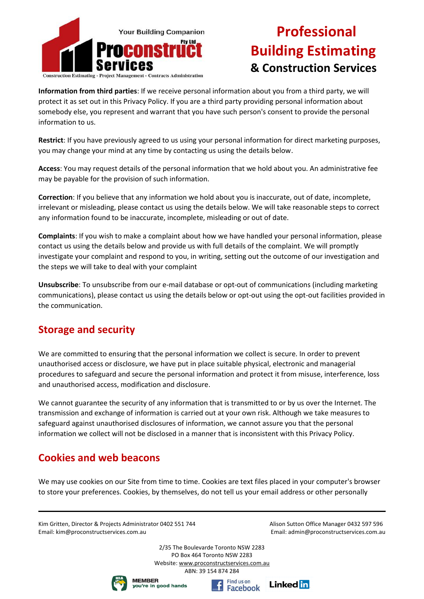

**Information from third parties**: If we receive personal information about you from a third party, we will protect it as set out in this Privacy Policy. If you are a third party providing personal information about somebody else, you represent and warrant that you have such person's consent to provide the personal information to us.

**Restrict**: If you have previously agreed to us using your personal information for direct marketing purposes, you may change your mind at any time by contacting us using the details below.

**Access**: You may request details of the personal information that we hold about you. An administrative fee may be payable for the provision of such information.

**Correction**: If you believe that any information we hold about you is inaccurate, out of date, incomplete, irrelevant or misleading, please contact us using the details below. We will take reasonable steps to correct any information found to be inaccurate, incomplete, misleading or out of date.

**Complaints**: If you wish to make a complaint about how we have handled your personal information, please contact us using the details below and provide us with full details of the complaint. We will promptly investigate your complaint and respond to you, in writing, setting out the outcome of our investigation and the steps we will take to deal with your complaint

**Unsubscribe**: To unsubscribe from our e-mail database or opt-out of communications (including marketing communications), please contact us using the details below or opt-out using the opt-out facilities provided in the communication.

#### **Storage and security**

We are committed to ensuring that the personal information we collect is secure. In order to prevent unauthorised access or disclosure, we have put in place suitable physical, electronic and managerial procedures to safeguard and secure the personal information and protect it from misuse, interference, loss and unauthorised access, modification and disclosure.

We cannot guarantee the security of any information that is transmitted to or by us over the Internet. The transmission and exchange of information is carried out at your own risk. Although we take measures to safeguard against unauthorised disclosures of information, we cannot assure you that the personal information we collect will not be disclosed in a manner that is inconsistent with this Privacy Policy.

### **Cookies and web beacons**

We may use cookies on our Site from time to time. Cookies are text files placed in your computer's browser to store your preferences. Cookies, by themselves, do not tell us your email address or other personally

Kim Gritten, Director & Projects Administrator 0402 551 744 Alison Sutton Office Manager 0432 597 596 Email: kim@proconstructservices.com.au Email: admin@proconstructservices.com.au





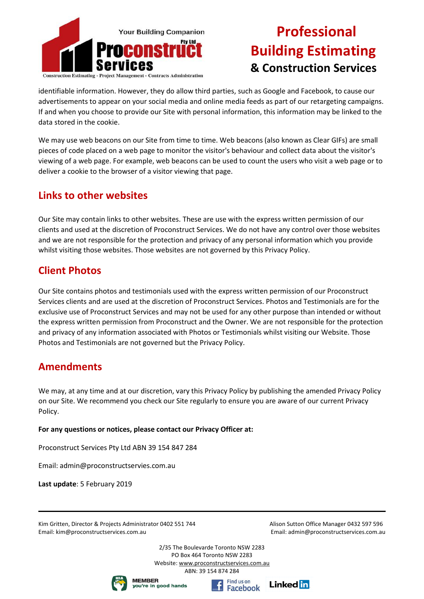

identifiable information. However, they do allow third parties, such as Google and Facebook, to cause our advertisements to appear on your social media and online media feeds as part of our retargeting campaigns. If and when you choose to provide our Site with personal information, this information may be linked to the data stored in the cookie.

We may use web beacons on our Site from time to time. Web beacons (also known as Clear GIFs) are small pieces of code placed on a web page to monitor the visitor's behaviour and collect data about the visitor's viewing of a web page. For example, web beacons can be used to count the users who visit a web page or to deliver a cookie to the browser of a visitor viewing that page.

#### **Links to other websites**

Our Site may contain links to other websites. These are use with the express written permission of our clients and used at the discretion of Proconstruct Services. We do not have any control over those websites and we are not responsible for the protection and privacy of any personal information which you provide whilst visiting those websites. Those websites are not governed by this Privacy Policy.

### **Client Photos**

Our Site contains photos and testimonials used with the express written permission of our Proconstruct Services clients and are used at the discretion of Proconstruct Services. Photos and Testimonials are for the exclusive use of Proconstruct Services and may not be used for any other purpose than intended or without the express written permission from Proconstruct and the Owner. We are not responsible for the protection and privacy of any information associated with Photos or Testimonials whilst visiting our Website. Those Photos and Testimonials are not governed but the Privacy Policy.

#### **Amendments**

We may, at any time and at our discretion, vary this Privacy Policy by publishing the amended Privacy Policy on our Site. We recommend you check our Site regularly to ensure you are aware of our current Privacy Policy.

#### **For any questions or notices, please contact our Privacy Officer at:**

Proconstruct Services Pty Ltd ABN 39 154 847 284

Email: admin@proconstructservies.com.au

**Last update**: 5 February 2019

Kim Gritten, Director & Projects Administrator 0402 551 744 Alison Sutton Office Manager 0432 597 596 Email: kim@proconstructservices.com.au Email: admin@proconstructservices.com.au